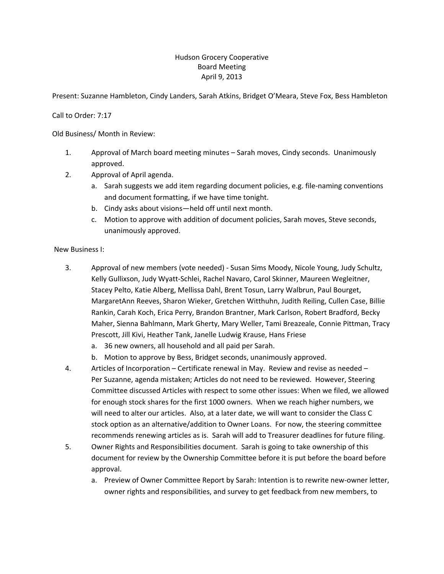# Hudson Grocery Cooperative Board Meeting April 9, 2013

Present: Suzanne Hambleton, Cindy Landers, Sarah Atkins, Bridget O'Meara, Steve Fox, Bess Hambleton

# Call to Order: 7:17

Old Business/ Month in Review:

- 1. Approval of March board meeting minutes Sarah moves, Cindy seconds. Unanimously approved.
- 2. Approval of April agenda.
	- a. Sarah suggests we add item regarding document policies, e.g. file-naming conventions and document formatting, if we have time tonight.
	- b. Cindy asks about visions—held off until next month.
	- c. Motion to approve with addition of document policies, Sarah moves, Steve seconds, unanimously approved.

## New Business I:

- 3. Approval of new members (vote needed) Susan Sims Moody, Nicole Young, Judy Schultz, Kelly Gullixson, Judy Wyatt-Schlei, Rachel Navaro, Carol Skinner, Maureen Wegleitner, Stacey Pelto, Katie Alberg, Mellissa Dahl, Brent Tosun, Larry Walbrun, Paul Bourget, MargaretAnn Reeves, Sharon Wieker, Gretchen Witthuhn, Judith Reiling, Cullen Case, Billie Rankin, Carah Koch, Erica Perry, Brandon Brantner, Mark Carlson, Robert Bradford, Becky Maher, Sienna Bahlmann, Mark Gherty, Mary Weller, Tami Breazeale, Connie Pittman, Tracy Prescott, Jill Kivi, Heather Tank, Janelle Ludwig Krause, Hans Friese
	- a. 36 new owners, all household and all paid per Sarah.
	- b. Motion to approve by Bess, Bridget seconds, unanimously approved.
- 4. Articles of Incorporation Certificate renewal in May. Review and revise as needed Per Suzanne, agenda mistaken; Articles do not need to be reviewed. However, Steering Committee discussed Articles with respect to some other issues: When we filed, we allowed for enough stock shares for the first 1000 owners. When we reach higher numbers, we will need to alter our articles. Also, at a later date, we will want to consider the Class C stock option as an alternative/addition to Owner Loans. For now, the steering committee recommends renewing articles as is. Sarah will add to Treasurer deadlines for future filing.
- 5. Owner Rights and Responsibilities document. Sarah is going to take ownership of this document for review by the Ownership Committee before it is put before the board before approval.
	- a. Preview of Owner Committee Report by Sarah: Intention is to rewrite new-owner letter, owner rights and responsibilities, and survey to get feedback from new members, to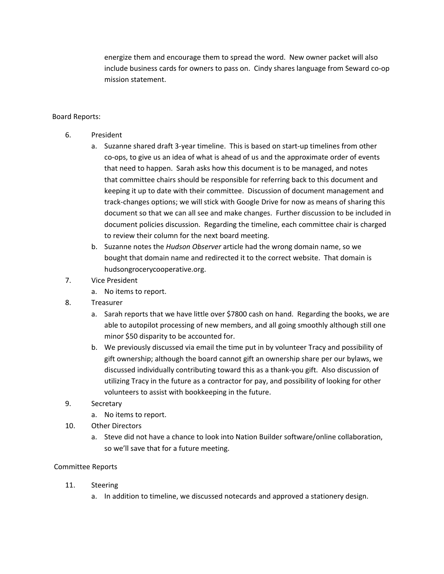energize them and encourage them to spread the word. New owner packet will also include business cards for owners to pass on. Cindy shares language from Seward co-op mission statement.

## Board Reports:

- 6. President
	- a. Suzanne shared draft 3-year timeline. This is based on start-up timelines from other co-ops, to give us an idea of what is ahead of us and the approximate order of events that need to happen. Sarah asks how this document is to be managed, and notes that committee chairs should be responsible for referring back to this document and keeping it up to date with their committee. Discussion of document management and track-changes options; we will stick with Google Drive for now as means of sharing this document so that we can all see and make changes. Further discussion to be included in document policies discussion. Regarding the timeline, each committee chair is charged to review their column for the next board meeting.
	- b. Suzanne notes the *Hudson Observer* article had the wrong domain name, so we bought that domain name and redirected it to the correct website. That domain is hudsongrocerycooperative.org.
- 7. Vice President
	- a. No items to report.
- 8. Treasurer
	- a. Sarah reports that we have little over \$7800 cash on hand. Regarding the books, we are able to autopilot processing of new members, and all going smoothly although still one minor \$50 disparity to be accounted for.
	- b. We previously discussed via email the time put in by volunteer Tracy and possibility of gift ownership; although the board cannot gift an ownership share per our bylaws, we discussed individually contributing toward this as a thank-you gift. Also discussion of utilizing Tracy in the future as a contractor for pay, and possibility of looking for other volunteers to assist with bookkeeping in the future.
- 9. Secretary
	- a. No items to report.
- 10. Other Directors
	- a. Steve did not have a chance to look into Nation Builder software/online collaboration, so we'll save that for a future meeting.

## Committee Reports

- 11. Steering
	- a. In addition to timeline, we discussed notecards and approved a stationery design.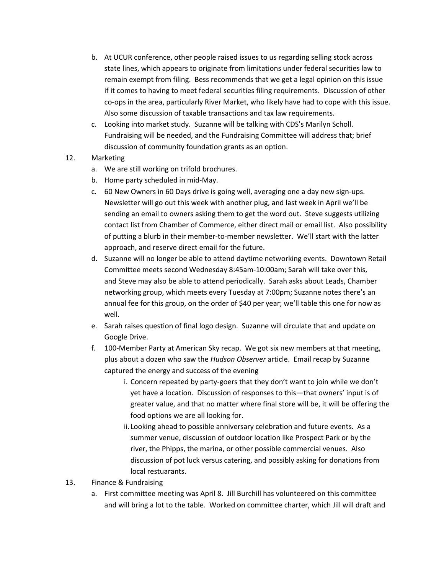- b. At UCUR conference, other people raised issues to us regarding selling stock across state lines, which appears to originate from limitations under federal securities law to remain exempt from filing. Bess recommends that we get a legal opinion on this issue if it comes to having to meet federal securities filing requirements. Discussion of other co-ops in the area, particularly River Market, who likely have had to cope with this issue. Also some discussion of taxable transactions and tax law requirements.
- c. Looking into market study. Suzanne will be talking with CDS's Marilyn Scholl. Fundraising will be needed, and the Fundraising Committee will address that; brief discussion of community foundation grants as an option.
- 12. Marketing
	- a. We are still working on trifold brochures.
	- b. Home party scheduled in mid-May.
	- c. 60 New Owners in 60 Days drive is going well, averaging one a day new sign-ups. Newsletter will go out this week with another plug, and last week in April we'll be sending an email to owners asking them to get the word out. Steve suggests utilizing contact list from Chamber of Commerce, either direct mail or email list. Also possibility of putting a blurb in their member-to-member newsletter. We'll start with the latter approach, and reserve direct email for the future.
	- d. Suzanne will no longer be able to attend daytime networking events. Downtown Retail Committee meets second Wednesday 8:45am-10:00am; Sarah will take over this, and Steve may also be able to attend periodically. Sarah asks about Leads, Chamber networking group, which meets every Tuesday at 7:00pm; Suzanne notes there's an annual fee for this group, on the order of \$40 per year; we'll table this one for now as well.
	- e. Sarah raises question of final logo design. Suzanne will circulate that and update on Google Drive.
	- f. 100-Member Party at American Sky recap. We got six new members at that meeting, plus about a dozen who saw the *Hudson Observer* article. Email recap by Suzanne captured the energy and success of the evening
		- i. Concern repeated by party-goers that they don't want to join while we don't yet have a location. Discussion of responses to this—that owners' input is of greater value, and that no matter where final store will be, it will be offering the food options we are all looking for.
		- ii. Looking ahead to possible anniversary celebration and future events. As a summer venue, discussion of outdoor location like Prospect Park or by the river, the Phipps, the marina, or other possible commercial venues. Also discussion of pot luck versus catering, and possibly asking for donations from local restuarants.
- 13. Finance & Fundraising
	- a. First committee meeting was April 8. Jill Burchill has volunteered on this committee and will bring a lot to the table. Worked on committee charter, which Jill will draft and